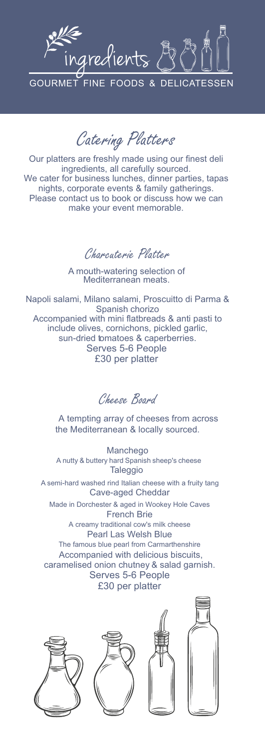

Catering Platters

Our platters are freshly made using our finest deli ingredients, all carefully sourced. We cater for business lunches, dinner parties, tapas nights, corporate events & family gatherings. Please contact us to book or discuss how we can make your event memorable.

Charcuterie Platter

A mouth-watering selection of Mediterranean meats.

Napoli salami, Milano salami, Proscuitto di Parma & Spanish chorizo Accompanied with mini flatbreads & anti pasti to include olives, cornichons, pickled garlic, sun-dried tomatoes & caperberries. Serves 5-6 People £30 per platter

Cheese Board

A tempting array of cheeses from across the Mediterranean & locally sourced.

Manchego A nutty & buttery hard Spanish sheep's cheese **Taleggio** 

A semi-hard washed rind Italian cheese with a fruity tang Cave-aged Cheddar Made in Dorchester & aged in Wookey Hole Caves

French Brie A creamy traditional cow's milk cheese Pearl Las Welsh Blue The famous blue pearl from Carmarthenshire Accompanied with delicious biscuits, caramelised onion chutney & salad garnish. Serves 5-6 People £30 per platter